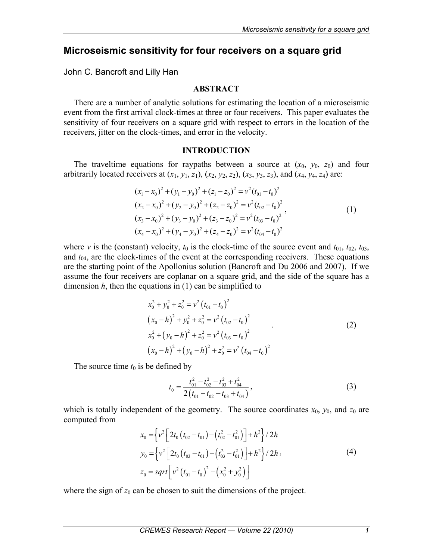# **Microseismic sensitivity for four receivers on a square grid**

John C. Bancroft and Lilly Han

# **ABSTRACT**

There are a number of analytic solutions for estimating the location of a microseismic event from the first arrival clock-times at three or four receivers. This paper evaluates the sensitivity of four receivers on a square grid with respect to errors in the location of the receivers, jitter on the clock-times, and error in the velocity.

# **INTRODUCTION**

The traveltime equations for raypaths between a source at  $(x_0, y_0, z_0)$  and four arbitrarily located receivers at  $(x_1, y_1, z_1)$ ,  $(x_2, y_2, z_2)$ ,  $(x_3, y_3, z_3)$ , and  $(x_4, y_4, z_4)$  are:

$$
(x1 - x0)2 + (y1 - y0)2 + (z1 - z0)2 = v2 (t01 - t0)2(x2 - x0)2 + (y2 - y0)2 + (z2 - z0)2 = v2 (t02 - t0)2(x3 - x0)2 + (y3 - y0)2 + (z3 - z0)2 = v2 (t03 - t0)2(x4 - x0)2 + (y4 - y0)2 + (z4 - z0)2 = v2 (t04 - t0)2
$$

where *v* is the (constant) velocity,  $t_0$  is the clock-time of the source event and  $t_{01}$ ,  $t_{02}$ ,  $t_{03}$ , and *t*04, are the clock-times of the event at the corresponding receivers. These equations are the starting point of the Apollonius solution (Bancroft and Du 2006 and 2007). If we assume the four receivers are coplanar on a square grid, and the side of the square has a dimension  $h$ , then the equations in  $(1)$  can be simplified to

$$
x_0^2 + y_0^2 + z_0^2 = v^2 (t_{01} - t_0)^2
$$
  
\n
$$
(x_0 - h)^2 + y_0^2 + z_0^2 = v^2 (t_{02} - t_0)^2
$$
  
\n
$$
x_0^2 + (y_0 - h)^2 + z_0^2 = v^2 (t_{03} - t_0)^2
$$
  
\n
$$
(x_0 - h)^2 + (y_0 - h)^2 + z_0^2 = v^2 (t_{04} - t_0)^2
$$
 (2)

The source time  $t_0$  is be defined by

$$
t_0 = \frac{t_{01}^2 - t_{02}^2 - t_{03}^2 + t_{04}^2}{2(t_{01} - t_{02} - t_{03} + t_{04})},
$$
\n(3)

which is totally independent of the geometry. The source coordinates  $x_0$ ,  $y_0$ , and  $z_0$  are computed from

$$
x_0 = \left\{ v^2 \left[ 2t_0 \left( t_{02} - t_{01} \right) - \left( t_{02}^2 - t_{01}^2 \right) \right] + h^2 \right\} / 2h
$$
  
\n
$$
y_0 = \left\{ v^2 \left[ 2t_0 \left( t_{03} - t_{01} \right) - \left( t_{03}^2 - t_{01}^2 \right) \right] + h^2 \right\} / 2h ,
$$
  
\n
$$
z_0 = sqrt \left[ v^2 \left( t_{01} - t_0 \right)^2 - \left( x_0^2 + y_0^2 \right) \right]
$$
 (4)

where the sign of  $z_0$  can be chosen to suit the dimensions of the project.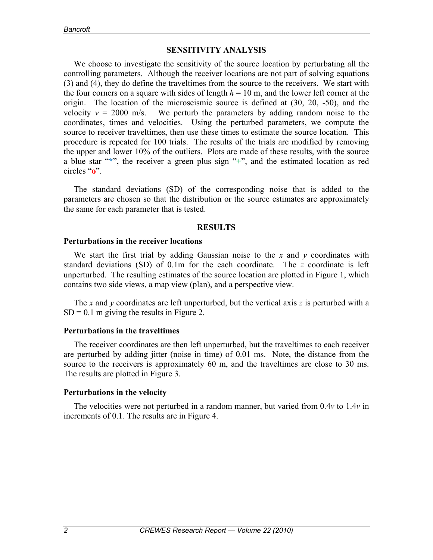# **SENSITIVITY ANALYSIS**

We choose to investigate the sensitivity of the source location by perturbating all the controlling parameters. Although the receiver locations are not part of solving equations (3) and (4), they do define the traveltimes from the source to the receivers. We start with the four corners on a square with sides of length  $h = 10$  m, and the lower left corner at the origin. The location of the microseismic source is defined at (30, 20, -50), and the velocity  $v = 2000$  m/s. We perturb the parameters by adding random noise to the coordinates, times and velocities. Using the perturbed parameters, we compute the source to receiver traveltimes, then use these times to estimate the source location. This procedure is repeated for 100 trials. The results of the trials are modified by removing the upper and lower 10% of the outliers. Plots are made of these results, with the source a blue star "**\***", the receiver a green plus sign "**+**", and the estimated location as red circles "**o**".

The standard deviations (SD) of the corresponding noise that is added to the parameters are chosen so that the distribution or the source estimates are approximately the same for each parameter that is tested.

### **RESULTS**

### **Perturbations in the receiver locations**

We start the first trial by adding Gaussian noise to the *x* and *y* coordinates with standard deviations (SD) of 0.1m for the each coordinate. The *z* coordinate is left unperturbed. The resulting estimates of the source location are plotted in Figure 1, which contains two side views, a map view (plan), and a perspective view.

The *x* and *y* coordinates are left unperturbed, but the vertical axis *z* is perturbed with a  $SD = 0.1$  m giving the results in Figure 2.

### **Perturbations in the traveltimes**

The receiver coordinates are then left unperturbed, but the traveltimes to each receiver are perturbed by adding jitter (noise in time) of 0.01 ms. Note, the distance from the source to the receivers is approximately 60 m, and the traveltimes are close to 30 ms. The results are plotted in Figure 3.

### **Perturbations in the velocity**

The velocities were not perturbed in a random manner, but varied from 0.4*v* to 1.4*v* in increments of 0.1. The results are in Figure 4.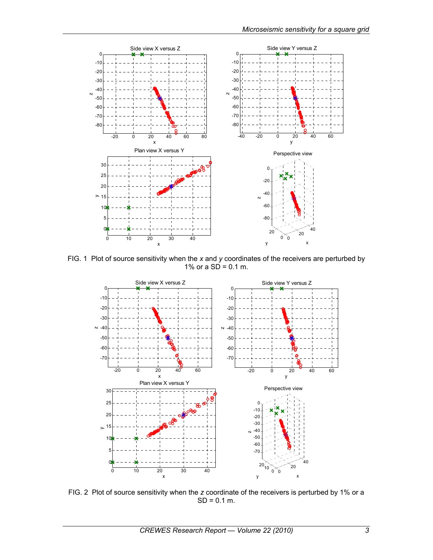

FIG. 1 Plot of source sensitivity when the *x* and *y* coordinates of the receivers are perturbed by 1% or a  $SD = 0.1$  m.



FIG. 2 Plot of source sensitivity when the *z* coordinate of the receivers is perturbed by 1% or a  $SD = 0.1$  m.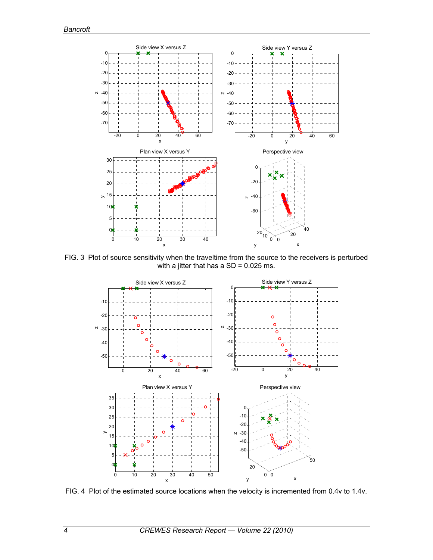

FIG. 3 Plot of source sensitivity when the traveltime from the source to the receivers is perturbed with a jitter that has a  $SD = 0.025$  ms.



FIG. 4 Plot of the estimated source locations when the velocity is incremented from 0.4v to 1.4v.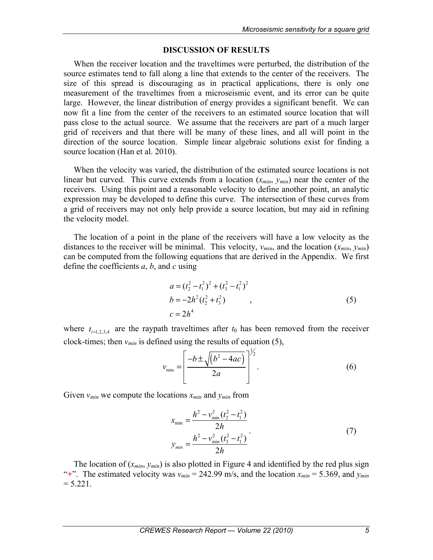## **DISCUSSION OF RESULTS**

When the receiver location and the traveltimes were perturbed, the distribution of the source estimates tend to fall along a line that extends to the center of the receivers. The size of this spread is discouraging as in practical applications, there is only one measurement of the traveltimes from a microseismic event, and its error can be quite large. However, the linear distribution of energy provides a significant benefit. We can now fit a line from the center of the receivers to an estimated source location that will pass close to the actual source. We assume that the receivers are part of a much larger grid of receivers and that there will be many of these lines, and all will point in the direction of the source location. Simple linear algebraic solutions exist for finding a source location (Han et al. 2010).

When the velocity was varied, the distribution of the estimated source locations is not linear but curved. This curve extends from a location  $(x_{min}, y_{min})$  near the center of the receivers. Using this point and a reasonable velocity to define another point, an analytic expression may be developed to define this curve. The intersection of these curves from a grid of receivers may not only help provide a source location, but may aid in refining the velocity model.

The location of a point in the plane of the receivers will have a low velocity as the distances to the receiver will be minimal. This velocity,  $v_{min}$ , and the location  $(x_{min}, y_{min})$ can be computed from the following equations that are derived in the Appendix. We first define the coefficients *a*, *b*, and *c* using

$$
a = (t_2^2 - t_1^2)^2 + (t_3^2 - t_1^2)^2
$$
  
\n
$$
b = -2h^2(t_2^2 + t_3^2)
$$
  
\n
$$
c = 2h^4
$$
\n(5)

where  $t_{i=1,2,3,4}$  are the raypath traveltimes after  $t_0$  has been removed from the receiver clock-times; then  $v_{min}$  is defined using the results of equation (5),

$$
v_{\min} = \left[\frac{-b \pm \sqrt{(b^2 - 4ac)}}{2a}\right]^{\frac{1}{2}}.
$$
 (6)

Given  $v_{min}$  we compute the locations  $x_{min}$  and  $y_{min}$  from

$$
x_{\min} = \frac{h^2 - v_{\min}^2 (t_2^2 - t_1^2)}{2h}
$$
  

$$
y_{\min} = \frac{h^2 - v_{\min}^2 (t_3^2 - t_1^2)}{2h}
$$
 (7)

The location of  $(x_{min}, y_{min})$  is also plotted in Figure 4 and identified by the red plus sign "<sup>+</sup>". The estimated velocity was  $v_{min} = 242.99$  m/s, and the location  $x_{min} = 5.369$ , and  $y_{min}$  $= 5.221$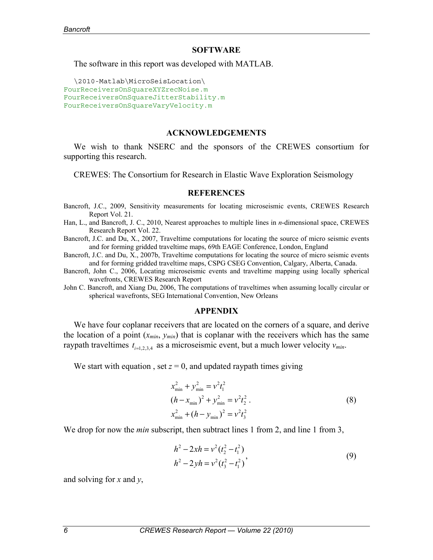#### **SOFTWARE**

The software in this report was developed with MATLAB.

```
\2010-Matlab\MicroSeisLocation\ 
FourReceiversOnSquareXYZrecNoise.m
FourReceiversOnSquareJitterStability.m
FourReceiversOnSquareVaryVelocity.m
```
#### **ACKNOWLEDGEMENTS**

We wish to thank NSERC and the sponsors of the CREWES consortium for supporting this research.

CREWES: The Consortium for Research in Elastic Wave Exploration Seismology

#### **REFERENCES**

Bancroft, J.C., 2009, Sensitivity measurements for locating microseismic events, CREWES Research Report Vol. 21.

- Han, L., and Bancroft, J. C., 2010, Nearest approaches to multiple lines in *n*-dimensional space, CREWES Research Report Vol. 22.
- Bancroft, J.C. and Du, X., 2007, Traveltime computations for locating the source of micro seismic events and for forming gridded traveltime maps, 69th EAGE Conference, London, England
- Bancroft, J.C. and Du, X., 2007b, Traveltime computations for locating the source of micro seismic events and for forming gridded traveltime maps, CSPG CSEG Convention, Calgary, Alberta, Canada.
- Bancroft, John C., 2006, Locating microseismic events and traveltime mapping using locally spherical wavefronts, CREWES Research Report
- John C. Bancroft, and Xiang Du, 2006, The computations of traveltimes when assuming locally circular or spherical wavefronts, SEG International Convention, New Orleans

#### **APPENDIX**

We have four coplanar receivers that are located on the corners of a square, and derive the location of a point  $(x_{min}, y_{min})$  that is coplanar with the receivers which has the same raypath traveltimes  $t_{i=1,2,3,4}$  as a microseismic event, but a much lower velocity  $v_{min}$ .

We start with equation, set  $z = 0$ , and updated raypath times giving

$$
x_{\min}^2 + y_{\min}^2 = v^2 t_1^2
$$
  
\n
$$
(h - x_{\min})^2 + y_{\min}^2 = v^2 t_2^2
$$
  
\n
$$
x_{\min}^2 + (h - y_{\min})^2 = v^2 t_3^2
$$
\n(8)

We drop for now the *min* subscript, then subtract lines 1 from 2, and line 1 from 3,

$$
h^{2} - 2xh = v^{2}(t_{2}^{2} - t_{1}^{2})
$$
  
\n
$$
h^{2} - 2yh = v^{2}(t_{3}^{2} - t_{1}^{2})'
$$
\n(9)

and solving for *x* and *y*,